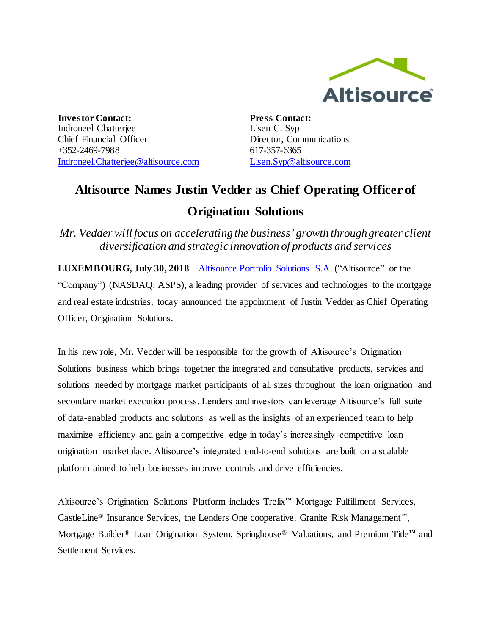

**Investor Contact:** Indroneel Chatterjee Chief Financial Officer +352-2469-7988 [Indroneel.Chatterjee@altisource.com](mailto:Indroneel.Chatterjee@altisource.com) **Press Contact:** Lisen C. Syp Director, Communications 617-357-6365 [Lisen.Syp@altisource.com](mailto:Lisen.Syp@altisource.com)

## **Altisource Names Justin Vedder as Chief Operating Officer of Origination Solutions**

*Mr. Vedder will focus on accelerating the business' growth through greater client diversification and strategic innovation of products and services*

**LUXEMBOURG, July 30, 2018** – [Altisource Portfolio Solutions S.A.](https://www.altisource.com/?utm_campaign=JustinVedderPromotion&utm_source=PR&utm_medium=PR&utm_content=first) ("Altisource" or the "Company") (NASDAQ: ASPS), a leading provider of services and technologies to the mortgage and real estate industries, today announced the appointment of Justin Vedder as Chief Operating Officer, Origination Solutions.

In his new role, Mr. Vedder will be responsible for the growth of Altisource's Origination Solutions business which brings together the integrated and consultative products, services and solutions needed by mortgage market participants of all sizes throughout the loan origination and secondary market execution process. Lenders and investors can leverage Altisource's full suite of data-enabled products and solutions as well as the insights of an experienced team to help maximize efficiency and gain a competitive edge in today's increasingly competitive loan origination marketplace. Altisource's integrated end-to-end solutions are built on a scalable platform aimed to help businesses improve controls and drive efficiencies.

Altisource's Origination Solutions Platform includes Trelix™ Mortgage Fulfillment Services, CastleLine® Insurance Services, the Lenders One cooperative, Granite Risk Management™, Mortgage Builder® Loan Origination System, Springhouse® Valuations, and Premium Title™ and Settlement Services.